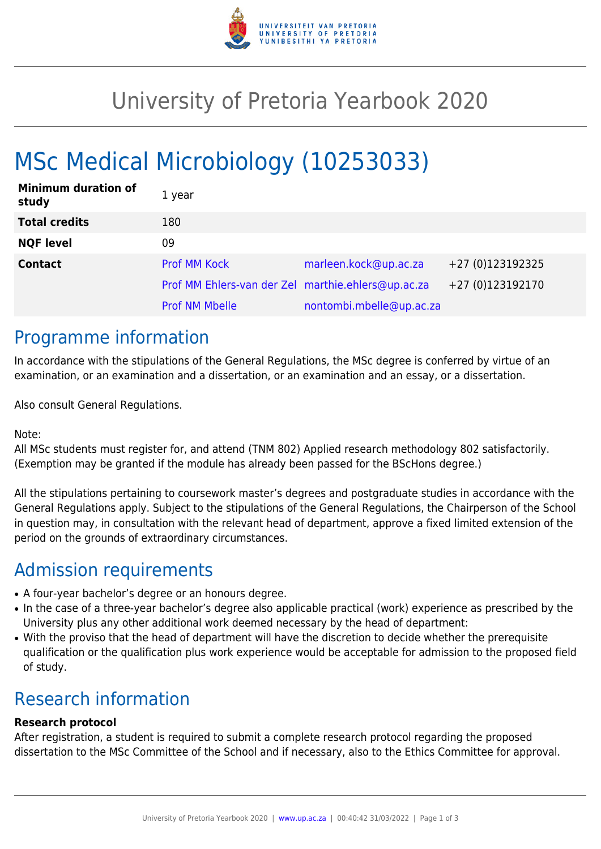

# University of Pretoria Yearbook 2020

# MSc Medical Microbiology (10253033)

| <b>Minimum duration of</b><br>study | 1 year                                             |                          |                  |
|-------------------------------------|----------------------------------------------------|--------------------------|------------------|
| <b>Total credits</b>                | 180                                                |                          |                  |
| <b>NQF level</b>                    | 09                                                 |                          |                  |
| <b>Contact</b>                      | <b>Prof MM Kock</b>                                | marleen.kock@up.ac.za    | +27 (0)123192325 |
|                                     | Prof MM Ehlers-van der Zel marthie.ehlers@up.ac.za |                          | +27 (0)123192170 |
|                                     | <b>Prof NM Mbelle</b>                              | nontombi.mbelle@up.ac.za |                  |

### Programme information

In accordance with the stipulations of the General Regulations, the MSc degree is conferred by virtue of an examination, or an examination and a dissertation, or an examination and an essay, or a dissertation.

Also consult General Regulations.

Note:

All MSc students must register for, and attend (TNM 802) Applied research methodology 802 satisfactorily. (Exemption may be granted if the module has already been passed for the BScHons degree.)

All the stipulations pertaining to coursework master's degrees and postgraduate studies in accordance with the General Regulations apply. Subject to the stipulations of the General Regulations, the Chairperson of the School in question may, in consultation with the relevant head of department, approve a fixed limited extension of the period on the grounds of extraordinary circumstances.

## Admission requirements

- A four-year bachelor's degree or an honours degree.
- In the case of a three-year bachelor's degree also applicable practical (work) experience as prescribed by the University plus any other additional work deemed necessary by the head of department:
- With the proviso that the head of department will have the discretion to decide whether the prerequisite qualification or the qualification plus work experience would be acceptable for admission to the proposed field of study.

## Research information

#### **Research protocol**

After registration, a student is required to submit a complete research protocol regarding the proposed dissertation to the MSc Committee of the School and if necessary, also to the Ethics Committee for approval.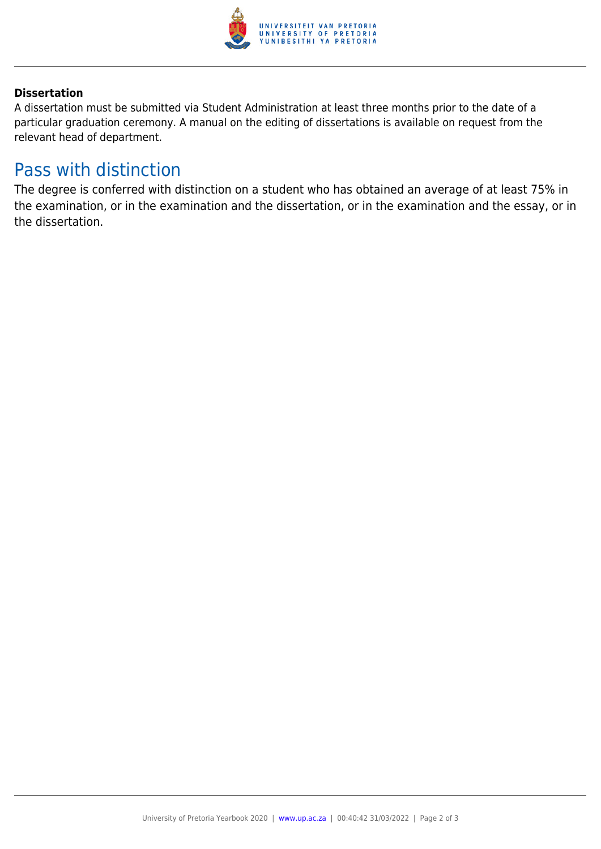

#### **Dissertation**

A dissertation must be submitted via Student Administration at least three months prior to the date of a particular graduation ceremony. A manual on the editing of dissertations is available on request from the relevant head of department.

### Pass with distinction

The degree is conferred with distinction on a student who has obtained an average of at least 75% in the examination, or in the examination and the dissertation, or in the examination and the essay, or in the dissertation.